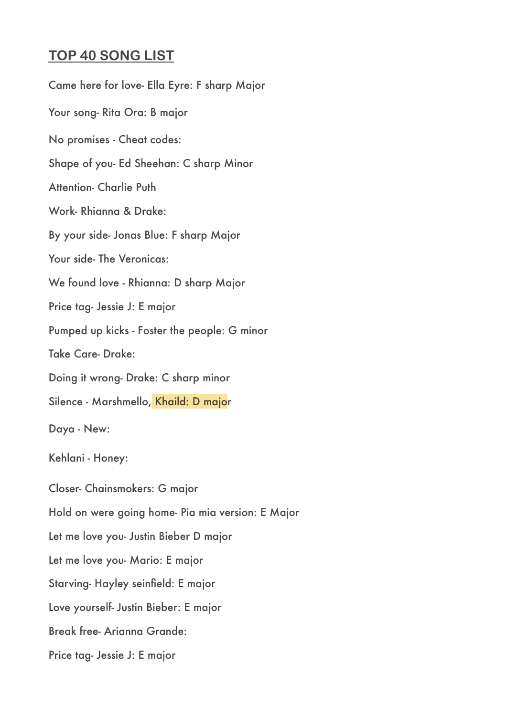## **TOP 40 SONG LIST**

Came here for love- Ella Eyre: F sharp Major Your song- Rita Ora: B major No promises - Cheat codes: Shape of you- Ed Sheehan: C sharp Minor Attention- Charlie Puth Work- Rhianna & Drake: By your side- Jonas Blue: F sharp Major Your side- The Veronicas: We found love - Rhianna: D sharp Major Price tag- Jessie J: E major Pumped up kicks - Foster the people: G minor Take Care- Drake: Doing it wrong- Drake: C sharp minor Silence - Marshmello, Khaild: D major Daya - New: Kehlani - Honey: Closer- Chainsmokers: G major Hold on were going home- Pia mia version: E Major Let me love you- Justin Bieber D major Let me love you- Mario: E major Starving- Hayley seinfield: E major Love yourself- Justin Bieber: E major Break free- Arianna Grande: Price tag- Jessie J: E major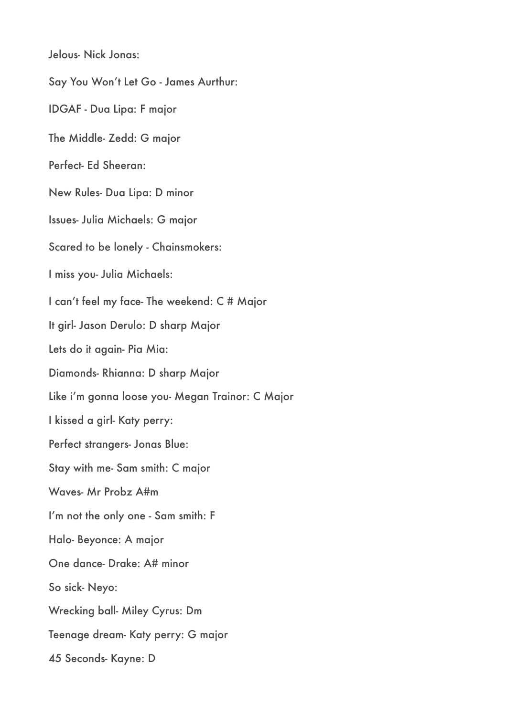Jelous- Nick Jonas:

Say You Won't Let Go - James Aurthur: IDGAF - Dua Lipa: F major The Middle- Zedd: G major Perfect- Ed Sheeran: New Rules- Dua Lipa: D minor Issues- Julia Michaels: G major Scared to be lonely - Chainsmokers: I miss you- Julia Michaels: I can't feel my face- The weekend: C # Major It girl- Jason Derulo: D sharp Major Lets do it again- Pia Mia: Diamonds- Rhianna: D sharp Major Like i'm gonna loose you- Megan Trainor: C Major I kissed a girl- Katy perry: Perfect strangers- Jonas Blue: Stay with me- Sam smith: C major Waves- Mr Probz A#m I'm not the only one - Sam smith: F Halo- Beyonce: A major One dance- Drake: A# minor So sick- Neyo: Wrecking ball- Miley Cyrus: Dm Teenage dream- Katy perry: G major 45 Seconds- Kayne: D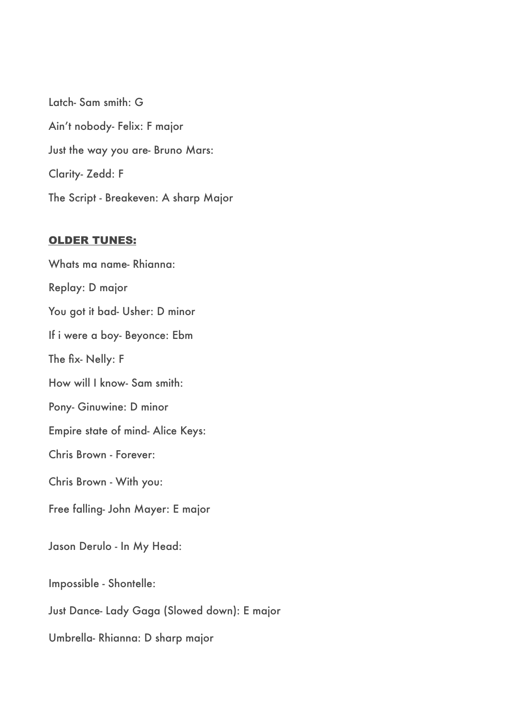Latch- Sam smith: G Ain't nobody- Felix: F major Just the way you are- Bruno Mars: Clarity- Zedd: F The Script - Breakeven: A sharp Major

## OLDER TUNES:

Whats ma name- Rhianna: Replay: D major You got it bad- Usher: D minor If i were a boy- Beyonce: Ebm The fix- Nelly: F How will I know- Sam smith: Pony- Ginuwine: D minor Empire state of mind- Alice Keys: Chris Brown - Forever: Chris Brown - With you: Free falling- John Mayer: E major Jason Derulo - In My Head: Impossible - Shontelle: Just Dance- Lady Gaga (Slowed down): E major

Umbrella- Rhianna: D sharp major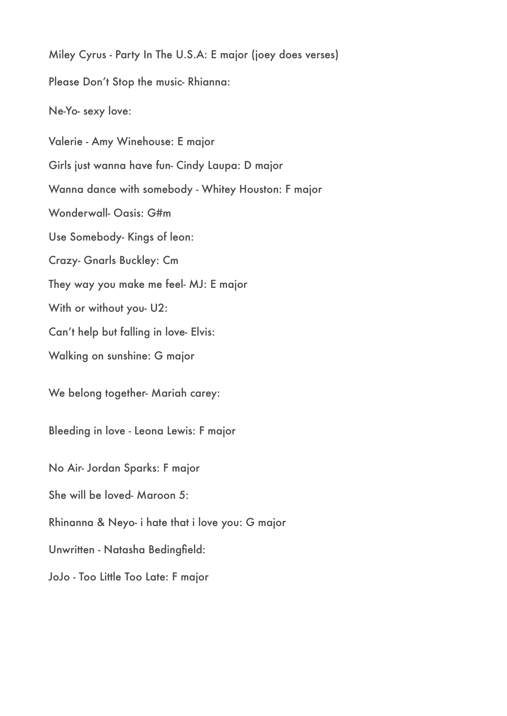Miley Cyrus - Party In The U.S.A: E major (joey does verses) Please Don't Stop the music- Rhianna: Ne-Yo- sexy love: Valerie - Amy Winehouse: E major Girls just wanna have fun- Cindy Laupa: D major Wanna dance with somebody - Whitey Houston: F major Wonderwall- Oasis: G#m Use Somebody- Kings of leon: Crazy- Gnarls Buckley: Cm They way you make me feel- MJ: E major With or without you- U2: Can't help but falling in love- Elvis: Walking on sunshine: G major We belong together- Mariah carey: Bleeding in love - Leona Lewis: F major No Air- Jordan Sparks: F major She will be loved- Maroon 5: Rhinanna & Neyo- i hate that i love you: G major Unwritten - Natasha Bedingfield: JoJo - Too Little Too Late: F major